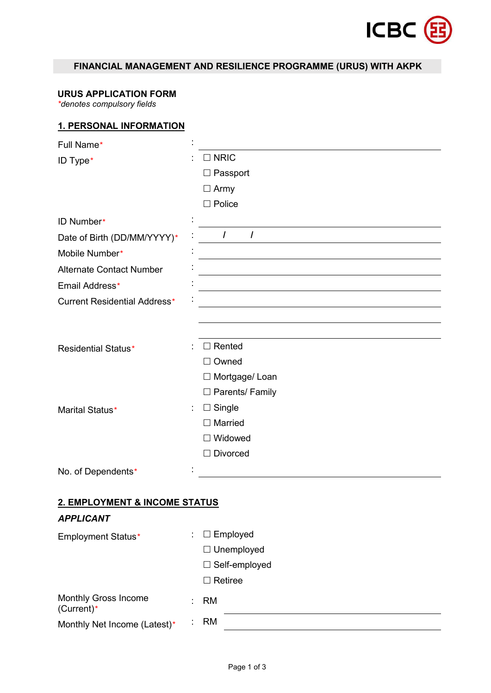

# **FINANCIAL MANAGEMENT AND RESILIENCE PROGRAMME (URUS) WITH AKPK**

### **URUS APPLICATION FORM**

*\*denotes compulsory fields*

### **1. PERSONAL INFORMATION**

| Full Name*                                |                        |
|-------------------------------------------|------------------------|
| ID Type*                                  | $\Box$ NRIC            |
|                                           | $\Box$ Passport        |
|                                           | $\Box$ Army            |
|                                           | $\square$ Police       |
| ID Number*                                |                        |
| Date of Birth (DD/MM/YYYY)*               | I<br>$\prime$          |
| Mobile Number*                            |                        |
| <b>Alternate Contact Number</b>           |                        |
| Email Address*                            |                        |
| <b>Current Residential Address*</b>       |                        |
|                                           |                        |
|                                           |                        |
| <b>Residential Status*</b>                | $\Box$ Rented          |
|                                           | $\Box$ Owned           |
|                                           | □ Mortgage/ Loan       |
|                                           | $\Box$ Parents/ Family |
| Marital Status*                           | $\Box$ Single<br>÷.    |
|                                           | $\Box$ Married         |
|                                           | $\Box$ Widowed         |
|                                           | $\Box$ Divorced        |
| No. of Dependents*                        |                        |
|                                           |                        |
| 2. EMPLOYMENT & INCOME STATUS             |                        |
| <b>APPLICANT</b>                          |                        |
| <b>Employment Status*</b>                 | $\Box$ Employed        |
|                                           | $\Box$ Unemployed      |
|                                           | □ Self-employed        |
|                                           | $\Box$ Retiree         |
| <b>Monthly Gross Income</b><br>(Current)* | <b>RM</b>              |
| Monthly Net Income (Latest)*              | <b>RM</b>              |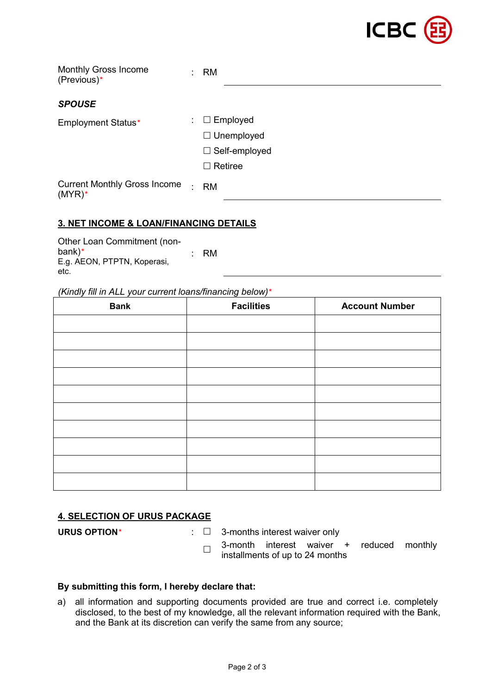

| <b>Monthly Gross Income</b><br>(Previous)*       | ٠.                            | <b>RM</b>            |
|--------------------------------------------------|-------------------------------|----------------------|
| <b>SPOUSE</b>                                    |                               |                      |
| <b>Employment Status*</b>                        | $\mathcal{L}^{\mathcal{L}}$ . | $\Box$ Employed      |
|                                                  |                               | $\Box$ Unemployed    |
|                                                  |                               | $\Box$ Self-employed |
|                                                  |                               | $\Box$ Retiree       |
| <b>Current Monthly Gross Income</b><br>$(MYR)$ * | $\bullet$                     | <b>RM</b>            |

## **3. NET INCOME & LOAN/FINANCING DETAILS**

Other Loan Commitment (non bank)*\** E.g. AEON, PTPTN, Koperasi, bank)\* RM<br>E.g. AEON, PTPTN, Koperasi, <br>etc.

#### *(Kindly fill in ALL yourcurrent loans/financing below)\**

| <b>Facilities</b> | <b>Account Number</b> |
|-------------------|-----------------------|
|                   |                       |
|                   |                       |
|                   |                       |
|                   |                       |
|                   |                       |
|                   |                       |
|                   |                       |
|                   |                       |
|                   |                       |
|                   |                       |
|                   |                       |

### **4. SELECTION OF URUS PACKAGE**

**URUS OPTION***\** : 3-months interest waiver only

 $\Box$  installments of up to 24 months 3-month interest waiver + reduced monthly

### **By submitting this form, I hereby declare that:**

a) all information and supporting documents provided are true and correct i.e. completely disclosed, to the best of my knowledge, all the relevant information required with the Bank, and the Bank at its discretion can verify the same from any source;